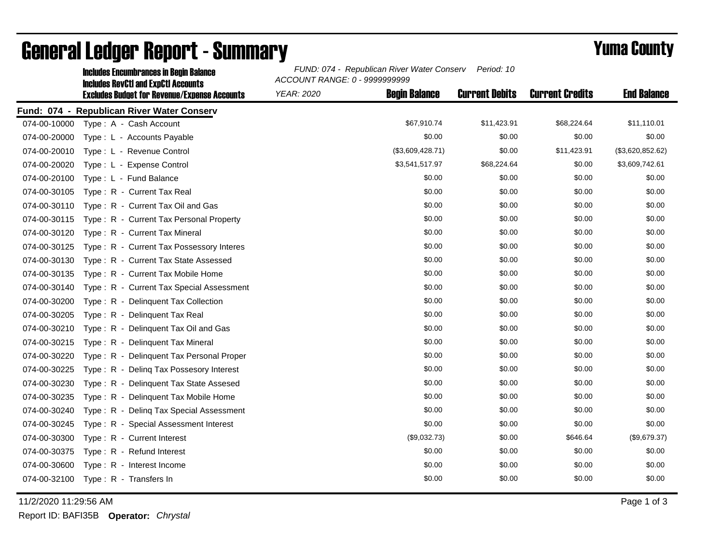|              | <b>Includes Encumbrances in Begin Balance</b>                                                     | FUND: 074 - Republican River Water Conserv<br>Period: 10<br>ACCOUNT RANGE: 0 - 9999999999 |                       |                        |                    |  |
|--------------|---------------------------------------------------------------------------------------------------|-------------------------------------------------------------------------------------------|-----------------------|------------------------|--------------------|--|
|              | <b>Includes RevCtI and ExpCtI Accounts</b><br><b>Excludes Budget for Revenue/Expense Accounts</b> | <b>Begin Balance</b><br><b>YEAR: 2020</b>                                                 | <b>Current Debits</b> | <b>Current Credits</b> | <b>End Balance</b> |  |
|              | Fund: 074 - Republican River Water Conserv                                                        |                                                                                           |                       |                        |                    |  |
| 074-00-10000 | Type: A - Cash Account                                                                            | \$67,910.74                                                                               | \$11,423.91           | \$68,224.64            | \$11,110.01        |  |
| 074-00-20000 | Type: L - Accounts Payable                                                                        | \$0.00                                                                                    | \$0.00                | \$0.00                 | \$0.00             |  |
| 074-00-20010 | Type: L - Revenue Control                                                                         | (\$3,609,428.71)                                                                          | \$0.00                | \$11,423.91            | (\$3,620,852.62)   |  |
| 074-00-20020 | Type: L - Expense Control                                                                         | \$3,541,517.97                                                                            | \$68,224.64           | \$0.00                 | \$3,609,742.61     |  |
| 074-00-20100 | Type: L - Fund Balance                                                                            | \$0.00                                                                                    | \$0.00                | \$0.00                 | \$0.00             |  |
| 074-00-30105 | Type: R - Current Tax Real                                                                        | \$0.00                                                                                    | \$0.00                | \$0.00                 | \$0.00             |  |
| 074-00-30110 | Type: R - Current Tax Oil and Gas                                                                 | \$0.00                                                                                    | \$0.00                | \$0.00                 | \$0.00             |  |
| 074-00-30115 | Type: R - Current Tax Personal Property                                                           | \$0.00                                                                                    | \$0.00                | \$0.00                 | \$0.00             |  |
| 074-00-30120 | Type: R - Current Tax Mineral                                                                     | \$0.00                                                                                    | \$0.00                | \$0.00                 | \$0.00             |  |
| 074-00-30125 | Type: R - Current Tax Possessory Interes                                                          | \$0.00                                                                                    | \$0.00                | \$0.00                 | \$0.00             |  |
| 074-00-30130 | Type: R - Current Tax State Assessed                                                              | \$0.00                                                                                    | \$0.00                | \$0.00                 | \$0.00             |  |
| 074-00-30135 | Type: R - Current Tax Mobile Home                                                                 | \$0.00                                                                                    | \$0.00                | \$0.00                 | \$0.00             |  |
| 074-00-30140 | Type: R - Current Tax Special Assessment                                                          | \$0.00                                                                                    | \$0.00                | \$0.00                 | \$0.00             |  |
| 074-00-30200 | Type: R - Delinquent Tax Collection                                                               | \$0.00                                                                                    | \$0.00                | \$0.00                 | \$0.00             |  |
| 074-00-30205 | Type: R - Delinquent Tax Real                                                                     | \$0.00                                                                                    | \$0.00                | \$0.00                 | \$0.00             |  |
| 074-00-30210 | Type: R - Delinquent Tax Oil and Gas                                                              | \$0.00                                                                                    | \$0.00                | \$0.00                 | \$0.00             |  |
| 074-00-30215 | Type: R - Delinquent Tax Mineral                                                                  | \$0.00                                                                                    | \$0.00                | \$0.00                 | \$0.00             |  |
| 074-00-30220 | Type: R - Delinquent Tax Personal Proper                                                          | \$0.00                                                                                    | \$0.00                | \$0.00                 | \$0.00             |  |
| 074-00-30225 | Type: R - Deling Tax Possesory Interest                                                           | \$0.00                                                                                    | \$0.00                | \$0.00                 | \$0.00             |  |
| 074-00-30230 | Type: R - Delinquent Tax State Assesed                                                            | \$0.00                                                                                    | \$0.00                | \$0.00                 | \$0.00             |  |
| 074-00-30235 | Type: R - Delinquent Tax Mobile Home                                                              | \$0.00                                                                                    | \$0.00                | \$0.00                 | \$0.00             |  |
| 074-00-30240 | Type: R - Deling Tax Special Assessment                                                           | \$0.00                                                                                    | \$0.00                | \$0.00                 | \$0.00             |  |
| 074-00-30245 | Type: R - Special Assessment Interest                                                             | \$0.00                                                                                    | \$0.00                | \$0.00                 | \$0.00             |  |
| 074-00-30300 | Type: R - Current Interest                                                                        | (\$9,032.73)                                                                              | \$0.00                | \$646.64               | (\$9,679.37)       |  |
| 074-00-30375 | Type: R - Refund Interest                                                                         | \$0.00                                                                                    | \$0.00                | \$0.00                 | \$0.00             |  |
| 074-00-30600 | Type: R - Interest Income                                                                         | \$0.00                                                                                    | \$0.00                | \$0.00                 | \$0.00             |  |
| 074-00-32100 | Type: R - Transfers In                                                                            | \$0.00                                                                                    | \$0.00                | \$0.00                 | \$0.00             |  |

## General Ledger Report - Summary **Example 2018** Yuma County

11/2/2020 11:29:56 AM Page 1 of 3

Report ID: BAFI35B **Operator:** *Chrystal*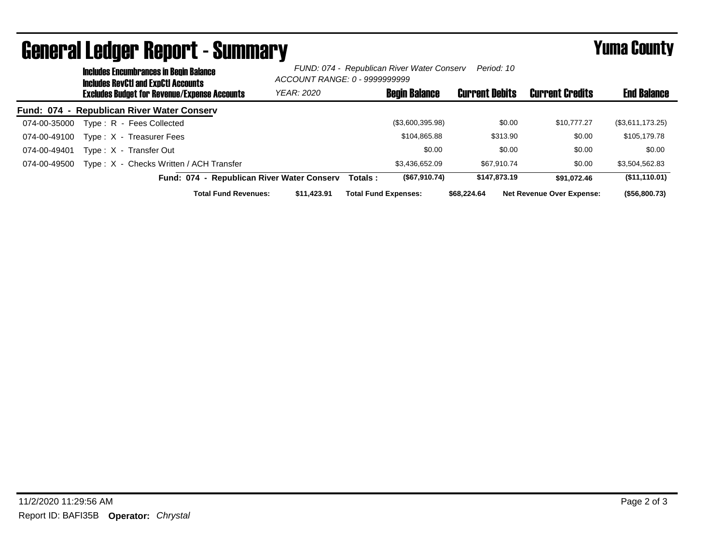|              | <b>Includes Encumbrances in Begin Balance</b><br>Includes RevCtI and ExpCtI Accounts | FUND: 074 - Republican River Water Conserv<br>Period: 10<br>ACCOUNT RANGE: 0 - 9999999999 |                             |                      |                       |                                  |                    |
|--------------|--------------------------------------------------------------------------------------|-------------------------------------------------------------------------------------------|-----------------------------|----------------------|-----------------------|----------------------------------|--------------------|
|              | <b>Excludes Budget for Revenue/Expense Accounts</b>                                  | YEAR: 2020                                                                                |                             | <b>Begin Balance</b> | <b>Current Debits</b> | <b>Current Credits</b>           | <b>End Balance</b> |
|              | Fund: 074 - Republican River Water Conserv                                           |                                                                                           |                             |                      |                       |                                  |                    |
| 074-00-35000 | Type: R - Fees Collected                                                             |                                                                                           |                             | (\$3,600,395.98)     | \$0.00                | \$10,777,27                      | (\$3,611,173.25)   |
| 074-00-49100 | Type: X - Treasurer Fees                                                             |                                                                                           |                             | \$104.865.88         | \$313.90              | \$0.00                           | \$105,179.78       |
| 074-00-49401 | Type: X - Transfer Out                                                               |                                                                                           |                             | \$0.00               | \$0.00                | \$0.00                           | \$0.00             |
| 074-00-49500 | Type: X - Checks Written / ACH Transfer                                              |                                                                                           |                             | \$3.436.652.09       | \$67.910.74           | \$0.00                           | \$3,504,562.83     |
|              | Fund: 074 - Republican River Water Conserv                                           |                                                                                           | Totals :                    | (S67, 910.74)        | \$147.873.19          | \$91.072.46                      | (\$11,110.01)      |
|              | <b>Total Fund Revenues:</b>                                                          | \$11.423.91                                                                               | <b>Total Fund Expenses:</b> |                      | \$68,224.64           | <b>Net Revenue Over Expense:</b> | (\$56,800.73)      |

## General Ledger Report - Summary **Experience County** Yuma County